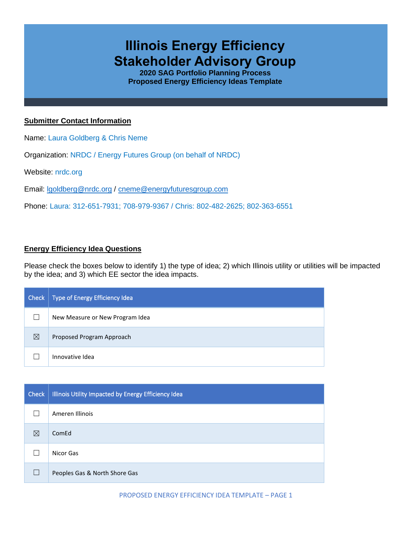# **Illinois Energy Efficiency Stakeholder Advisory Group**

**2020 SAG Portfolio Planning Process Proposed Energy Efficiency Ideas Template**

# **Submitter Contact Information**

Name: Laura Goldberg & Chris Neme

Organization: NRDC / Energy Futures Group (on behalf of NRDC)

Website: nrdc.org

Email: [lgoldberg@nrdc.org](mailto:lgoldberg@nrdc.org) / [cneme@energyfuturesgroup.com](mailto:cneme@energyfuturesgroup.com)

Phone: Laura: 312-651-7931; 708-979-9367 / Chris: 802-482-2625; 802-363-6551

# **Energy Efficiency Idea Questions**

Please check the boxes below to identify 1) the type of idea; 2) which Illinois utility or utilities will be impacted by the idea; and 3) which EE sector the idea impacts.

| Check | Type of Energy Efficiency Idea  |
|-------|---------------------------------|
|       | New Measure or New Program Idea |
| ⊠     | Proposed Program Approach       |
|       | Innovative Idea                 |

| Check | Illinois Utility Impacted by Energy Efficiency Idea |
|-------|-----------------------------------------------------|
|       | Ameren Illinois                                     |
| ⊠     | ComEd                                               |
|       | Nicor Gas                                           |
| Г     | Peoples Gas & North Shore Gas                       |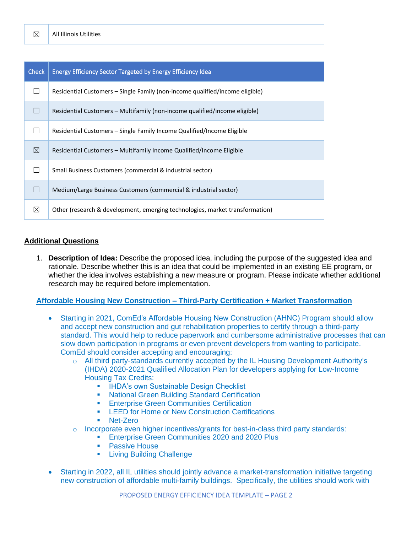| <b>Check</b> | <b>Energy Efficiency Sector Targeted by Energy Efficiency Idea</b>           |
|--------------|------------------------------------------------------------------------------|
|              | Residential Customers – Single Family (non-income qualified/income eligible) |
|              | Residential Customers – Multifamily (non-income qualified/income eligible)   |
|              | Residential Customers – Single Family Income Qualified/Income Eligible       |
| ⊠            | Residential Customers – Multifamily Income Qualified/Income Eligible         |
|              | Small Business Customers (commercial & industrial sector)                    |
|              | Medium/Large Business Customers (commercial & industrial sector)             |
| ⊠            | Other (research & development, emerging technologies, market transformation) |

#### **Additional Questions**

1. **Description of Idea:** Describe the proposed idea, including the purpose of the suggested idea and rationale. Describe whether this is an idea that could be implemented in an existing EE program, or whether the idea involves establishing a new measure or program. Please indicate whether additional research may be required before implementation.

#### **Affordable Housing New Construction – Third-Party Certification + Market Transformation**

- Starting in 2021, ComEd's Affordable Housing New Construction (AHNC) Program should allow and accept new construction and gut rehabilitation properties to certify through a third-party standard. This would help to reduce paperwork and cumbersome administrative processes that can slow down participation in programs or even prevent developers from wanting to participate. ComEd should consider accepting and encouraging:
	- o All third party-standards currently accepted by the IL Housing Development Authority's (IHDA) 2020-2021 Qualified Allocation Plan for developers applying for Low-Income Housing Tax Credits:
		- **IHDA's own Sustainable Design Checklist**
		- **National Green Building Standard Certification**
		- **Enterprise Green Communities Certification**
		- LEED for Home or New Construction Certifications
		- Net-Zero
	- $\circ$  Incorporate even higher incentives/grants for best-in-class third party standards:
		- **Enterprise Green Communities 2020 and 2020 Plus**
		- **Passive House**
		- **Living Building Challenge**
- Starting in 2022, all IL utilities should jointly advance a market-transformation initiative targeting new construction of affordable multi-family buildings. Specifically, the utilities should work with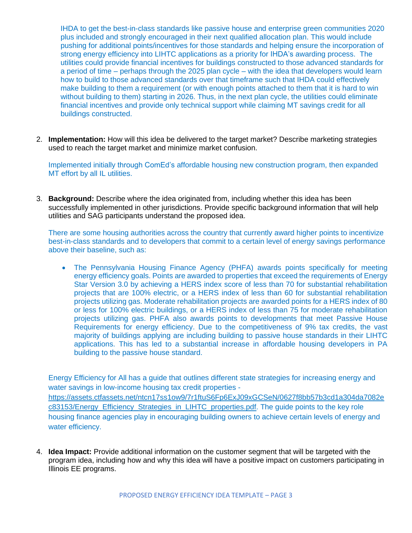IHDA to get the best-in-class standards like passive house and enterprise green communities 2020 plus included and strongly encouraged in their next qualified allocation plan. This would include pushing for additional points/incentives for those standards and helping ensure the incorporation of strong energy efficiency into LIHTC applications as a priority for IHDA's awarding process. The utilities could provide financial incentives for buildings constructed to those advanced standards for a period of time – perhaps through the 2025 plan cycle – with the idea that developers would learn how to build to those advanced standards over that timeframe such that IHDA could effectively make building to them a requirement (or with enough points attached to them that it is hard to win without building to them) starting in 2026. Thus, in the next plan cycle, the utilities could eliminate financial incentives and provide only technical support while claiming MT savings credit for all buildings constructed.

2. **Implementation:** How will this idea be delivered to the target market? Describe marketing strategies used to reach the target market and minimize market confusion.

Implemented initially through ComEd's affordable housing new construction program, then expanded MT effort by all IL utilities.

3. **Background:** Describe where the idea originated from, including whether this idea has been successfully implemented in other jurisdictions. Provide specific background information that will help utilities and SAG participants understand the proposed idea.

There are some housing authorities across the country that currently award higher points to incentivize best-in-class standards and to developers that commit to a certain level of energy savings performance above their baseline, such as:

• The Pennsylvania Housing Finance Agency (PHFA) awards points specifically for meeting energy efficiency goals. Points are awarded to properties that exceed the requirements of Energy Star Version 3.0 by achieving a HERS index score of less than 70 for substantial rehabilitation projects that are 100% electric, or a HERS index of less than 60 for substantial rehabilitation projects utilizing gas. Moderate rehabilitation projects are awarded points for a HERS index of 80 or less for 100% electric buildings, or a HERS index of less than 75 for moderate rehabilitation projects utilizing gas. PHFA also awards points to developments that meet Passive House Requirements for energy efficiency. Due to the competitiveness of 9% tax credits, the vast majority of buildings applying are including building to passive house standards in their LIHTC applications. This has led to a substantial increase in affordable housing developers in PA building to the passive house standard.

Energy Efficiency for All has a guide that outlines different state strategies for increasing energy and water savings in low-income housing tax credit properties [https://assets.ctfassets.net/ntcn17ss1ow9/7r1ftuS6Fp6ExJ09xGCSeN/0627f8bb57b3cd1a304da7082e](https://assets.ctfassets.net/ntcn17ss1ow9/7r1ftuS6Fp6ExJ09xGCSeN/0627f8bb57b3cd1a304da7082ec83153/Energy_Efficiency_Strategies_in_LIHTC_properties.pdf) [c83153/Energy\\_Efficiency\\_Strategies\\_in\\_LIHTC\\_properties.pdf.](https://assets.ctfassets.net/ntcn17ss1ow9/7r1ftuS6Fp6ExJ09xGCSeN/0627f8bb57b3cd1a304da7082ec83153/Energy_Efficiency_Strategies_in_LIHTC_properties.pdf) The guide points to the key role housing finance agencies play in encouraging building owners to achieve certain levels of energy and water efficiency.

4. **Idea Impact:** Provide additional information on the customer segment that will be targeted with the program idea, including how and why this idea will have a positive impact on customers participating in Illinois EE programs.